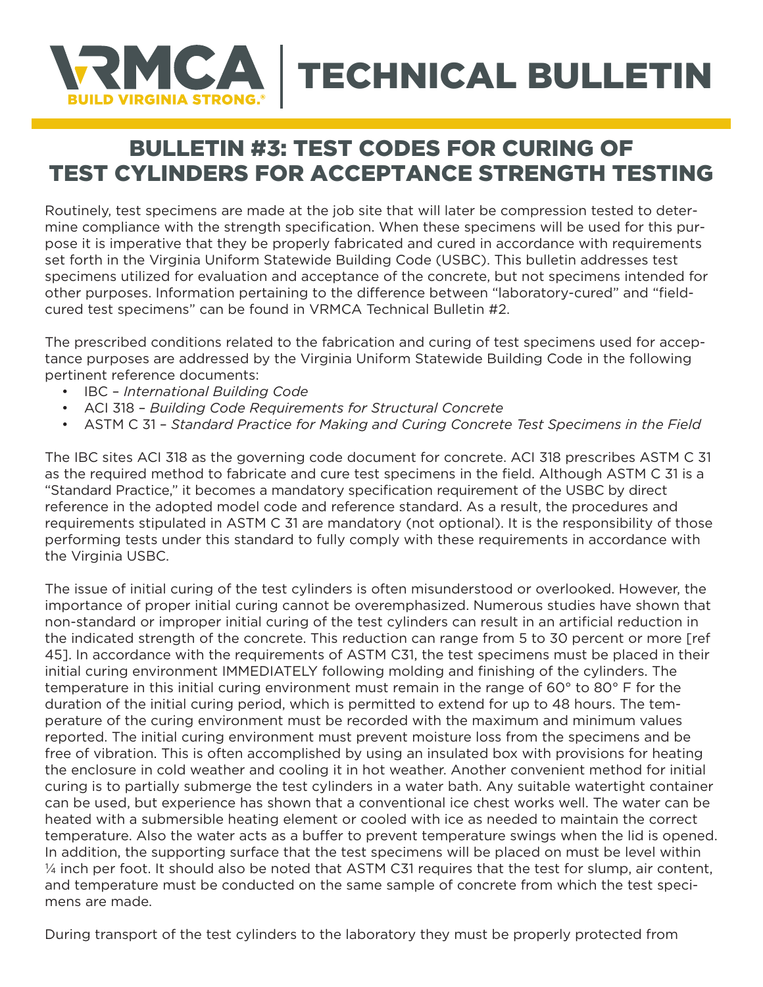

## BULLETIN #3: TEST CODES FOR CURING OF TEST CYLINDERS FOR ACCEPTANCE STRENGTH TESTING

Routinely, test specimens are made at the job site that will later be compression tested to determine compliance with the strength specification. When these specimens will be used for this purpose it is imperative that they be properly fabricated and cured in accordance with requirements set forth in the Virginia Uniform Statewide Building Code (USBC). This bulletin addresses test specimens utilized for evaluation and acceptance of the concrete, but not specimens intended for other purposes. Information pertaining to the difference between "laboratory-cured" and "fieldcured test specimens" can be found in VRMCA Technical Bulletin #2.

The prescribed conditions related to the fabrication and curing of test specimens used for acceptance purposes are addressed by the Virginia Uniform Statewide Building Code in the following pertinent reference documents:

- IBC *International Building Code*
- ACI 318 *Building Code Requirements for Structural Concrete*
- ASTM C 31 *Standard Practice for Making and Curing Concrete Test Specimens in the Field*

The IBC sites ACI 318 as the governing code document for concrete. ACI 318 prescribes ASTM C 31 as the required method to fabricate and cure test specimens in the field. Although ASTM C 31 is a "Standard Practice," it becomes a mandatory specification requirement of the USBC by direct reference in the adopted model code and reference standard. As a result, the procedures and requirements stipulated in ASTM C 31 are mandatory (not optional). It is the responsibility of those performing tests under this standard to fully comply with these requirements in accordance with the Virginia USBC.

The issue of initial curing of the test cylinders is often misunderstood or overlooked. However, the importance of proper initial curing cannot be overemphasized. Numerous studies have shown that non-standard or improper initial curing of the test cylinders can result in an artificial reduction in the indicated strength of the concrete. This reduction can range from 5 to 30 percent or more [ref 45]. In accordance with the requirements of ASTM C31, the test specimens must be placed in their initial curing environment IMMEDIATELY following molding and finishing of the cylinders. The temperature in this initial curing environment must remain in the range of 60° to 80° F for the duration of the initial curing period, which is permitted to extend for up to 48 hours. The temperature of the curing environment must be recorded with the maximum and minimum values reported. The initial curing environment must prevent moisture loss from the specimens and be free of vibration. This is often accomplished by using an insulated box with provisions for heating the enclosure in cold weather and cooling it in hot weather. Another convenient method for initial curing is to partially submerge the test cylinders in a water bath. Any suitable watertight container can be used, but experience has shown that a conventional ice chest works well. The water can be heated with a submersible heating element or cooled with ice as needed to maintain the correct temperature. Also the water acts as a buffer to prevent temperature swings when the lid is opened. In addition, the supporting surface that the test specimens will be placed on must be level within ¼ inch per foot. It should also be noted that ASTM C31 requires that the test for slump, air content, and temperature must be conducted on the same sample of concrete from which the test specimens are made.

During transport of the test cylinders to the laboratory they must be properly protected from